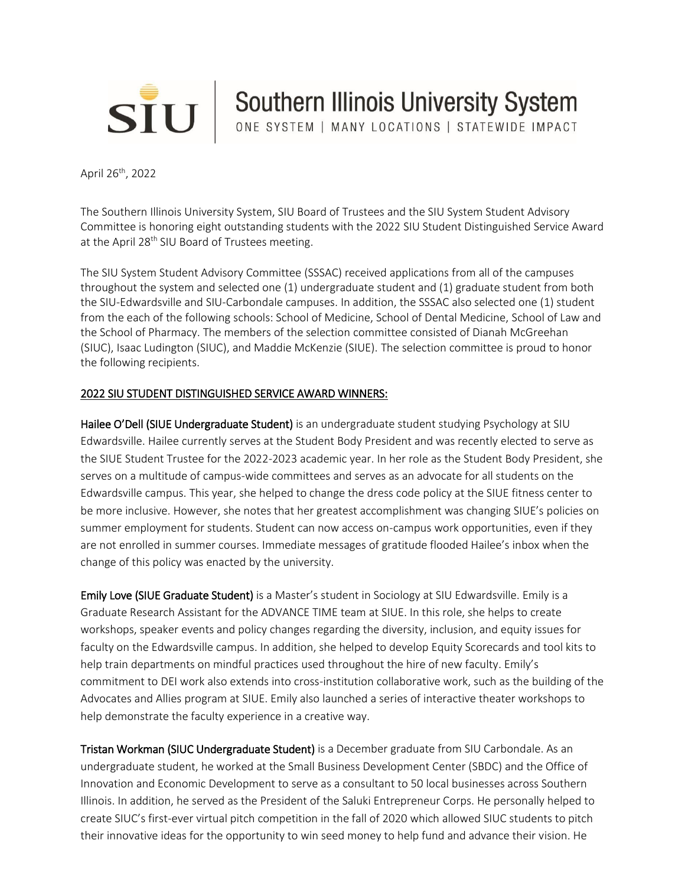

SIU Southern Illinois University System

April 26<sup>th</sup>, 2022

The Southern Illinois University System, SIU Board of Trustees and the SIU System Student Advisory Committee is honoring eight outstanding students with the 2022 SIU Student Distinguished Service Award at the April 28<sup>th</sup> SIU Board of Trustees meeting.

The SIU System Student Advisory Committee (SSSAC) received applications from all of the campuses throughout the system and selected one (1) undergraduate student and (1) graduate student from both the SIU-Edwardsville and SIU-Carbondale campuses. In addition, the SSSAC also selected one (1) student from the each of the following schools: School of Medicine, School of Dental Medicine, School of Law and the School of Pharmacy. The members of the selection committee consisted of Dianah McGreehan (SIUC), Isaac Ludington (SIUC), and Maddie McKenzie (SIUE). The selection committee is proud to honor the following recipients.

## 2022 SIU STUDENT DISTINGUISHED SERVICE AWARD WINNERS:

Hailee O'Dell (SIUE Undergraduate Student) is an undergraduate student studying Psychology at SIU Edwardsville. Hailee currently serves at the Student Body President and was recently elected to serve as the SIUE Student Trustee for the 2022-2023 academic year. In her role as the Student Body President, she serves on a multitude of campus-wide committees and serves as an advocate for all students on the Edwardsville campus. This year, she helped to change the dress code policy at the SIUE fitness center to be more inclusive. However, she notes that her greatest accomplishment was changing SIUE's policies on summer employment for students. Student can now access on-campus work opportunities, even if they are not enrolled in summer courses. Immediate messages of gratitude flooded Hailee's inbox when the change of this policy was enacted by the university.

Emily Love (SIUE Graduate Student) is a Master's student in Sociology at SIU Edwardsville. Emily is a Graduate Research Assistant for the ADVANCE TIME team at SIUE. In this role, she helps to create workshops, speaker events and policy changes regarding the diversity, inclusion, and equity issues for faculty on the Edwardsville campus. In addition, she helped to develop Equity Scorecards and tool kits to help train departments on mindful practices used throughout the hire of new faculty. Emily's commitment to DEI work also extends into cross-institution collaborative work, such as the building of the Advocates and Allies program at SIUE. Emily also launched a series of interactive theater workshops to help demonstrate the faculty experience in a creative way.

Tristan Workman (SIUC Undergraduate Student) is a December graduate from SIU Carbondale. As an undergraduate student, he worked at the Small Business Development Center (SBDC) and the Office of Innovation and Economic Development to serve as a consultant to 50 local businesses across Southern Illinois. In addition, he served as the President of the Saluki Entrepreneur Corps. He personally helped to create SIUC's first-ever virtual pitch competition in the fall of 2020 which allowed SIUC students to pitch their innovative ideas for the opportunity to win seed money to help fund and advance their vision. He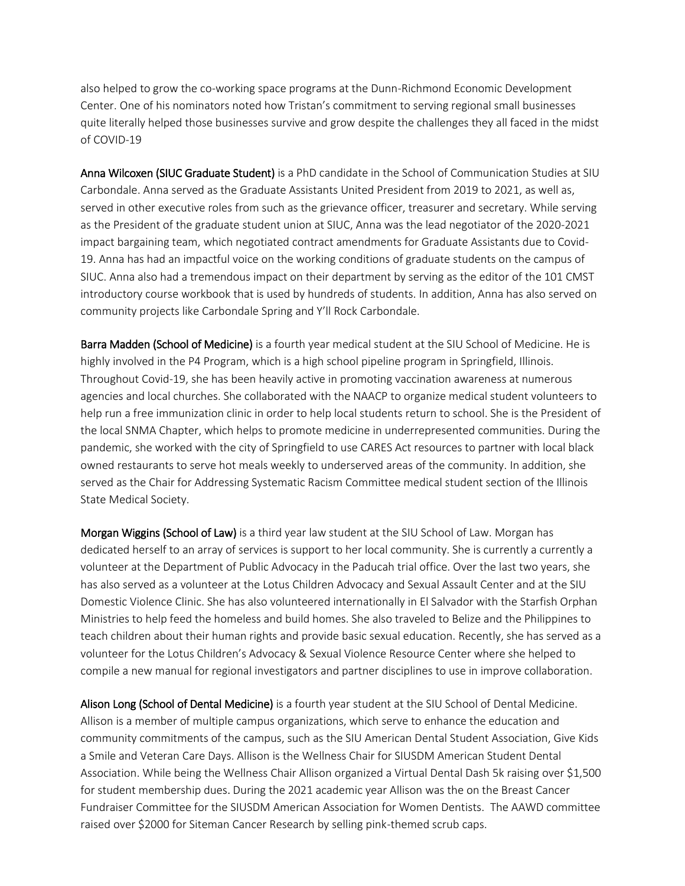also helped to grow the co-working space programs at the Dunn-Richmond Economic Development Center. One of his nominators noted how Tristan's commitment to serving regional small businesses quite literally helped those businesses survive and grow despite the challenges they all faced in the midst of COVID-19

Anna Wilcoxen (SIUC Graduate Student) is a PhD candidate in the School of Communication Studies at SIU Carbondale. Anna served as the Graduate Assistants United President from 2019 to 2021, as well as, served in other executive roles from such as the grievance officer, treasurer and secretary. While serving as the President of the graduate student union at SIUC, Anna was the lead negotiator of the 2020-2021 impact bargaining team, which negotiated contract amendments for Graduate Assistants due to Covid-19. Anna has had an impactful voice on the working conditions of graduate students on the campus of SIUC. Anna also had a tremendous impact on their department by serving as the editor of the 101 CMST introductory course workbook that is used by hundreds of students. In addition, Anna has also served on community projects like Carbondale Spring and Y'll Rock Carbondale.

Barra Madden (School of Medicine) is a fourth year medical student at the SIU School of Medicine. He is highly involved in the P4 Program, which is a high school pipeline program in Springfield, Illinois. Throughout Covid-19, she has been heavily active in promoting vaccination awareness at numerous agencies and local churches. She collaborated with the NAACP to organize medical student volunteers to help run a free immunization clinic in order to help local students return to school. She is the President of the local SNMA Chapter, which helps to promote medicine in underrepresented communities. During the pandemic, she worked with the city of Springfield to use CARES Act resources to partner with local black owned restaurants to serve hot meals weekly to underserved areas of the community. In addition, she served as the Chair for Addressing Systematic Racism Committee medical student section of the Illinois State Medical Society.

Morgan Wiggins (School of Law) is a third year law student at the SIU School of Law. Morgan has dedicated herself to an array of services is support to her local community. She is currently a currently a volunteer at the Department of Public Advocacy in the Paducah trial office. Over the last two years, she has also served as a volunteer at the Lotus Children Advocacy and Sexual Assault Center and at the SIU Domestic Violence Clinic. She has also volunteered internationally in El Salvador with the Starfish Orphan Ministries to help feed the homeless and build homes. She also traveled to Belize and the Philippines to teach children about their human rights and provide basic sexual education. Recently, she has served as a volunteer for the Lotus Children's Advocacy & Sexual Violence Resource Center where she helped to compile a new manual for regional investigators and partner disciplines to use in improve collaboration.

Alison Long (School of Dental Medicine) is a fourth year student at the SIU School of Dental Medicine. Allison is a member of multiple campus organizations, which serve to enhance the education and community commitments of the campus, such as the SIU American Dental Student Association, Give Kids a Smile and Veteran Care Days. Allison is the Wellness Chair for SIUSDM American Student Dental Association. While being the Wellness Chair Allison organized a Virtual Dental Dash 5k raising over \$1,500 for student membership dues. During the 2021 academic year Allison was the on the Breast Cancer Fundraiser Committee for the SIUSDM American Association for Women Dentists. The AAWD committee raised over \$2000 for Siteman Cancer Research by selling pink-themed scrub caps.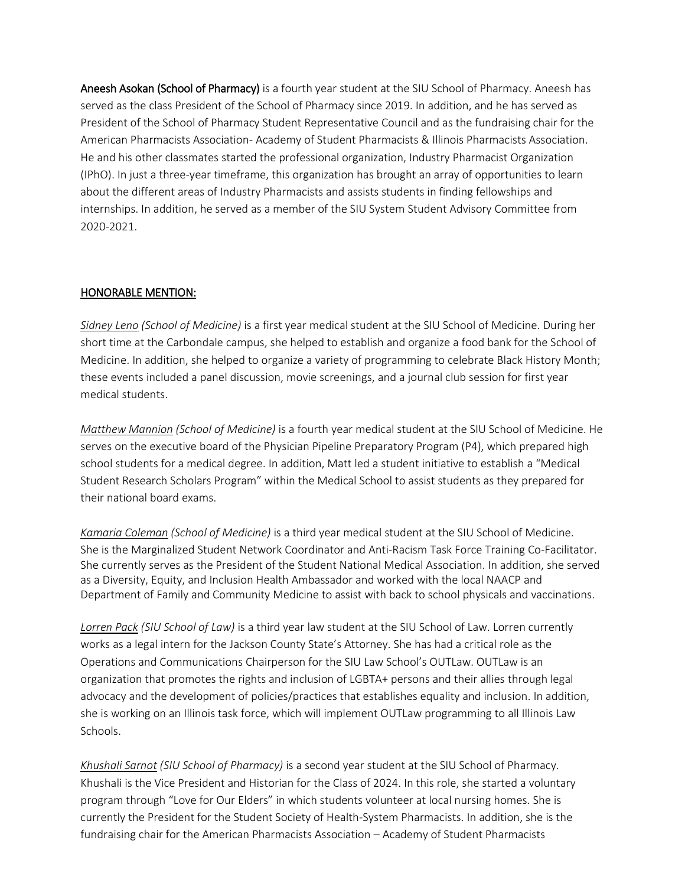Aneesh Asokan (School of Pharmacy) is a fourth year student at the SIU School of Pharmacy. Aneesh has served as the class President of the School of Pharmacy since 2019. In addition, and he has served as President of the School of Pharmacy Student Representative Council and as the fundraising chair for the American Pharmacists Association- Academy of Student Pharmacists & Illinois Pharmacists Association. He and his other classmates started the professional organization, Industry Pharmacist Organization (IPhO). In just a three-year timeframe, this organization has brought an array of opportunities to learn about the different areas of Industry Pharmacists and assists students in finding fellowships and internships. In addition, he served as a member of the SIU System Student Advisory Committee from 2020-2021.

## HONORABLE MENTION:

*Sidney Leno (School of Medicine)* is a first year medical student at the SIU School of Medicine. During her short time at the Carbondale campus, she helped to establish and organize a food bank for the School of Medicine. In addition, she helped to organize a variety of programming to celebrate Black History Month; these events included a panel discussion, movie screenings, and a journal club session for first year medical students.

*Matthew Mannion (School of Medicine)* is a fourth year medical student at the SIU School of Medicine. He serves on the executive board of the Physician Pipeline Preparatory Program (P4), which prepared high school students for a medical degree. In addition, Matt led a student initiative to establish a "Medical Student Research Scholars Program" within the Medical School to assist students as they prepared for their national board exams.

*Kamaria Coleman (School of Medicine)* is a third year medical student at the SIU School of Medicine. She is the Marginalized Student Network Coordinator and Anti-Racism Task Force Training Co-Facilitator. She currently serves as the President of the Student National Medical Association. In addition, she served as a Diversity, Equity, and Inclusion Health Ambassador and worked with the local NAACP and Department of Family and Community Medicine to assist with back to school physicals and vaccinations.

*Lorren Pack (SIU School of Law)* is a third year law student at the SIU School of Law. Lorren currently works as a legal intern for the Jackson County State's Attorney. She has had a critical role as the Operations and Communications Chairperson for the SIU Law School's OUTLaw. OUTLaw is an organization that promotes the rights and inclusion of LGBTA+ persons and their allies through legal advocacy and the development of policies/practices that establishes equality and inclusion. In addition, she is working on an Illinois task force, which will implement OUTLaw programming to all Illinois Law Schools.

*Khushali Sarnot (SIU School of Pharmacy)* is a second year student at the SIU School of Pharmacy. Khushali is the Vice President and Historian for the Class of 2024. In this role, she started a voluntary program through "Love for Our Elders" in which students volunteer at local nursing homes. She is currently the President for the Student Society of Health-System Pharmacists. In addition, she is the fundraising chair for the American Pharmacists Association – Academy of Student Pharmacists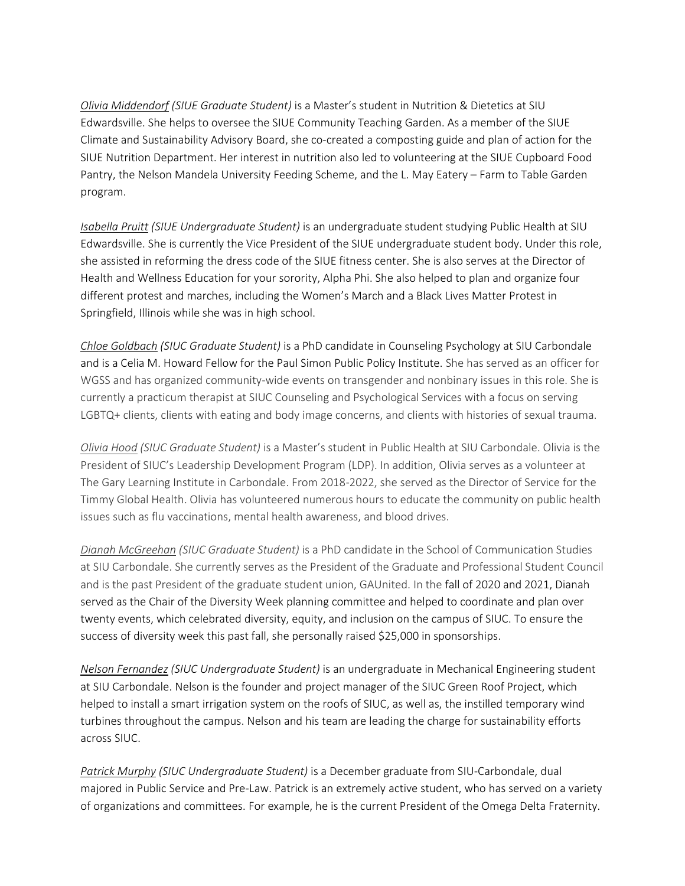*Olivia Middendorf (SIUE Graduate Student)* is a Master's student in Nutrition & Dietetics at SIU Edwardsville. She helps to oversee the SIUE Community Teaching Garden. As a member of the SIUE Climate and Sustainability Advisory Board, she co-created a composting guide and plan of action for the SIUE Nutrition Department. Her interest in nutrition also led to volunteering at the SIUE Cupboard Food Pantry, the Nelson Mandela University Feeding Scheme, and the L. May Eatery – Farm to Table Garden program.

*Isabella Pruitt (SIUE Undergraduate Student)* is an undergraduate student studying Public Health at SIU Edwardsville. She is currently the Vice President of the SIUE undergraduate student body. Under this role, she assisted in reforming the dress code of the SIUE fitness center. She is also serves at the Director of Health and Wellness Education for your sorority, Alpha Phi. She also helped to plan and organize four different protest and marches, including the Women's March and a Black Lives Matter Protest in Springfield, Illinois while she was in high school.

*Chloe Goldbach (SIUC Graduate Student)* is a PhD candidate in Counseling Psychology at SIU Carbondale and is a Celia M. Howard Fellow for the Paul Simon Public Policy Institute. She has served as an officer for WGSS and has organized community-wide events on transgender and nonbinary issues in this role. She is currently a practicum therapist at SIUC Counseling and Psychological Services with a focus on serving LGBTQ+ clients, clients with eating and body image concerns, and clients with histories of sexual trauma.

*Olivia Hood (SIUC Graduate Student)* is a Master's student in Public Health at SIU Carbondale. Olivia is the President of SIUC's Leadership Development Program (LDP). In addition, Olivia serves as a volunteer at The Gary Learning Institute in Carbondale. From 2018-2022, she served as the Director of Service for the Timmy Global Health. Olivia has volunteered numerous hours to educate the community on public health issues such as flu vaccinations, mental health awareness, and blood drives.

*Dianah McGreehan (SIUC Graduate Student)* is a PhD candidate in the School of Communication Studies at SIU Carbondale. She currently serves as the President of the Graduate and Professional Student Council and is the past President of the graduate student union, GAUnited. In the fall of 2020 and 2021, Dianah served as the Chair of the Diversity Week planning committee and helped to coordinate and plan over twenty events, which celebrated diversity, equity, and inclusion on the campus of SIUC. To ensure the success of diversity week this past fall, she personally raised \$25,000 in sponsorships.

*Nelson Fernandez (SIUC Undergraduate Student)* is an undergraduate in Mechanical Engineering student at SIU Carbondale. Nelson is the founder and project manager of the SIUC Green Roof Project, which helped to install a smart irrigation system on the roofs of SIUC, as well as, the instilled temporary wind turbines throughout the campus. Nelson and his team are leading the charge for sustainability efforts across SIUC.

*Patrick Murphy (SIUC Undergraduate Student)* is a December graduate from SIU-Carbondale, dual majored in Public Service and Pre-Law. Patrick is an extremely active student, who has served on a variety of organizations and committees. For example, he is the current President of the Omega Delta Fraternity.